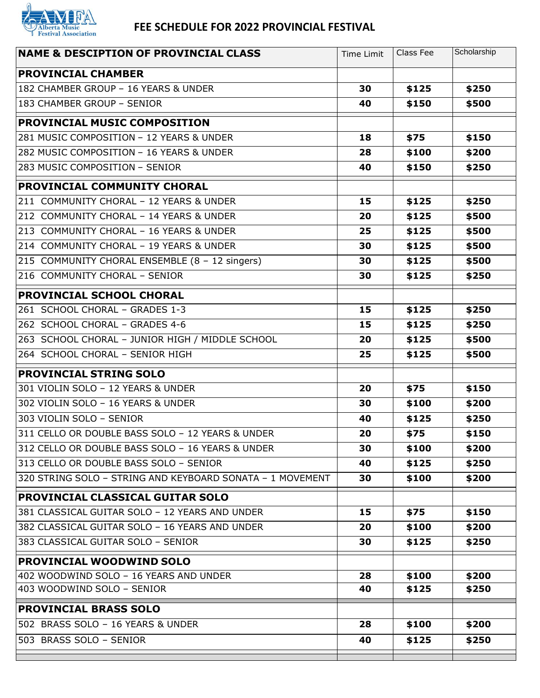

## **FEE SCHEDULE FOR 2022 PROVINCIAL FESTIVAL**

| <b>NAME &amp; DESCIPTION OF PROVINCIAL CLASS</b>          | Time Limit | Class Fee | Scholarship |
|-----------------------------------------------------------|------------|-----------|-------------|
| <b>PROVINCIAL CHAMBER</b>                                 |            |           |             |
| 182 CHAMBER GROUP - 16 YEARS & UNDER                      | 30         | \$125     | \$250       |
| 183 CHAMBER GROUP - SENIOR                                | 40         | \$150     | \$500       |
| PROVINCIAL MUSIC COMPOSITION                              |            |           |             |
| 281 MUSIC COMPOSITION - 12 YEARS & UNDER                  | 18         | \$75      | \$150       |
| 282 MUSIC COMPOSITION - 16 YEARS & UNDER                  | 28         | \$100     | \$200       |
| 283 MUSIC COMPOSITION - SENIOR                            | 40         | \$150     | \$250       |
| <b>PROVINCIAL COMMUNITY CHORAL</b>                        |            |           |             |
| 211 COMMUNITY CHORAL - 12 YEARS & UNDER                   | 15         | \$125     | \$250       |
| 212 COMMUNITY CHORAL - 14 YEARS & UNDER                   | 20         | \$125     | \$500       |
| 213 COMMUNITY CHORAL - 16 YEARS & UNDER                   | 25         | \$125     | \$500       |
| 214 COMMUNITY CHORAL - 19 YEARS & UNDER                   | 30         | \$125     | \$500       |
| 215 COMMUNITY CHORAL ENSEMBLE (8 - 12 singers)            | 30         | \$125     | \$500       |
| 216 COMMUNITY CHORAL - SENIOR                             | 30         | \$125     | \$250       |
| <b>PROVINCIAL SCHOOL CHORAL</b>                           |            |           |             |
| 261 SCHOOL CHORAL - GRADES 1-3                            | 15         | \$125     | \$250       |
| 262 SCHOOL CHORAL - GRADES 4-6                            | 15         | \$125     | \$250       |
| 263 SCHOOL CHORAL - JUNIOR HIGH / MIDDLE SCHOOL           | 20         | \$125     | \$500       |
| 264 SCHOOL CHORAL - SENIOR HIGH                           | 25         | \$125     | \$500       |
| <b>PROVINCIAL STRING SOLO</b>                             |            |           |             |
| 301 VIOLIN SOLO - 12 YEARS & UNDER                        | 20         | \$75      | \$150       |
| 302 VIOLIN SOLO - 16 YEARS & UNDER                        | 30         | \$100     | \$200       |
| 303 VIOLIN SOLO - SENIOR                                  | 40         | \$125     | \$250       |
| 311 CELLO OR DOUBLE BASS SOLO - 12 YEARS & UNDER          | 20         | \$75      | \$150       |
| 312 CELLO OR DOUBLE BASS SOLO - 16 YEARS & UNDER          | 30         | \$100     | \$200       |
| 313 CELLO OR DOUBLE BASS SOLO - SENIOR                    | 40         | \$125     | \$250       |
| 320 STRING SOLO - STRING AND KEYBOARD SONATA - 1 MOVEMENT | 30         | \$100     | \$200       |
| <b>PROVINCIAL CLASSICAL GUITAR SOLO</b>                   |            |           |             |
| 381 CLASSICAL GUITAR SOLO - 12 YEARS AND UNDER            | 15         | \$75      | \$150       |
| 382 CLASSICAL GUITAR SOLO - 16 YEARS AND UNDER            | 20         | \$100     | \$200       |
| 383 CLASSICAL GUITAR SOLO - SENIOR                        | 30         | \$125     | \$250       |
| <b>PROVINCIAL WOODWIND SOLO</b>                           |            |           |             |
| 402 WOODWIND SOLO - 16 YEARS AND UNDER                    | 28         | \$100     | \$200       |
| 403 WOODWIND SOLO - SENIOR                                | 40         | \$125     | \$250       |
| <b>PROVINCIAL BRASS SOLO</b>                              |            |           |             |
| 502 BRASS SOLO - 16 YEARS & UNDER                         | 28         | \$100     | \$200       |
| 503 BRASS SOLO - SENIOR                                   | 40         | \$125     | \$250       |
|                                                           |            |           |             |